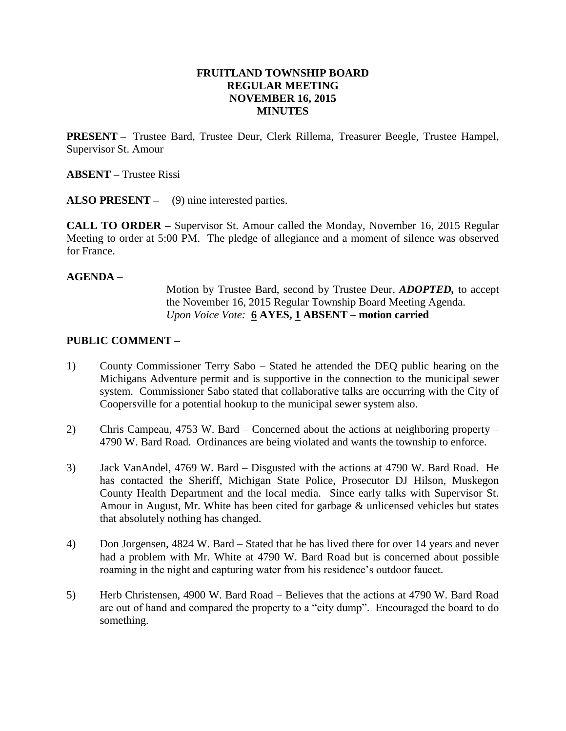# **FRUITLAND TOWNSHIP BOARD REGULAR MEETING NOVEMBER 16, 2015 MINUTES**

**PRESENT –** Trustee Bard, Trustee Deur, Clerk Rillema, Treasurer Beegle, Trustee Hampel, Supervisor St. Amour

**ABSENT –** Trustee Rissi

**ALSO PRESENT –** (9) nine interested parties.

**CALL TO ORDER –** Supervisor St. Amour called the Monday, November 16, 2015 Regular Meeting to order at 5:00 PM. The pledge of allegiance and a moment of silence was observed for France.

#### **AGENDA** –

Motion by Trustee Bard, second by Trustee Deur, *ADOPTED,* to accept the November 16, 2015 Regular Township Board Meeting Agenda. *Upon Voice Vote:* **6 AYES, 1 ABSENT – motion carried**

## **PUBLIC COMMENT –**

- 1) County Commissioner Terry Sabo Stated he attended the DEQ public hearing on the Michigans Adventure permit and is supportive in the connection to the municipal sewer system. Commissioner Sabo stated that collaborative talks are occurring with the City of Coopersville for a potential hookup to the municipal sewer system also.
- 2) Chris Campeau, 4753 W. Bard Concerned about the actions at neighboring property 4790 W. Bard Road. Ordinances are being violated and wants the township to enforce.
- 3) Jack VanAndel, 4769 W. Bard Disgusted with the actions at 4790 W. Bard Road. He has contacted the Sheriff, Michigan State Police, Prosecutor DJ Hilson, Muskegon County Health Department and the local media. Since early talks with Supervisor St. Amour in August, Mr. White has been cited for garbage & unlicensed vehicles but states that absolutely nothing has changed.
- 4) Don Jorgensen, 4824 W. Bard Stated that he has lived there for over 14 years and never had a problem with Mr. White at 4790 W. Bard Road but is concerned about possible roaming in the night and capturing water from his residence's outdoor faucet.
- 5) Herb Christensen, 4900 W. Bard Road Believes that the actions at 4790 W. Bard Road are out of hand and compared the property to a "city dump". Encouraged the board to do something.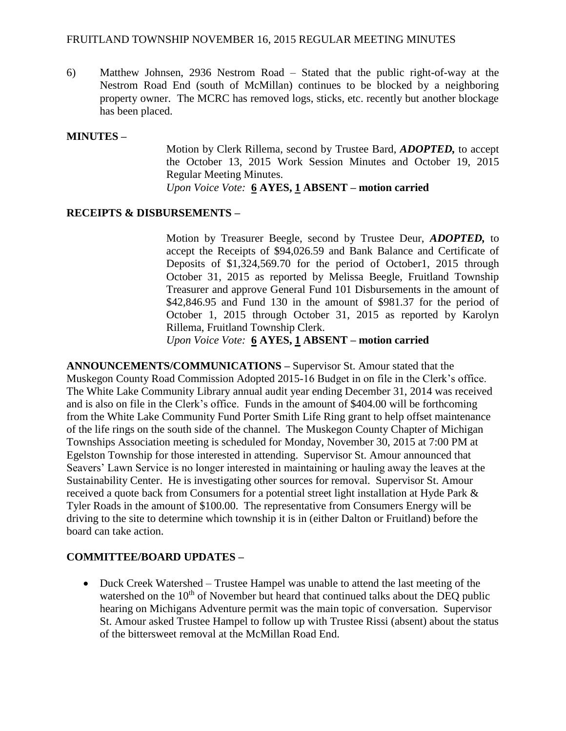## FRUITLAND TOWNSHIP NOVEMBER 16, 2015 REGULAR MEETING MINUTES

6) Matthew Johnsen, 2936 Nestrom Road – Stated that the public right-of-way at the Nestrom Road End (south of McMillan) continues to be blocked by a neighboring property owner. The MCRC has removed logs, sticks, etc. recently but another blockage has been placed.

## **MINUTES –**

Motion by Clerk Rillema, second by Trustee Bard, *ADOPTED,* to accept the October 13, 2015 Work Session Minutes and October 19, 2015 Regular Meeting Minutes. *Upon Voice Vote:* **6 AYES, 1 ABSENT – motion carried**

## **RECEIPTS & DISBURSEMENTS –**

Motion by Treasurer Beegle, second by Trustee Deur, *ADOPTED,* to accept the Receipts of \$94,026.59 and Bank Balance and Certificate of Deposits of \$1,324,569.70 for the period of October1, 2015 through October 31, 2015 as reported by Melissa Beegle, Fruitland Township Treasurer and approve General Fund 101 Disbursements in the amount of \$42,846.95 and Fund 130 in the amount of \$981.37 for the period of October 1, 2015 through October 31, 2015 as reported by Karolyn Rillema, Fruitland Township Clerk.

*Upon Voice Vote:* **6 AYES, 1 ABSENT – motion carried**

**ANNOUNCEMENTS/COMMUNICATIONS –** Supervisor St. Amour stated that the Muskegon County Road Commission Adopted 2015-16 Budget in on file in the Clerk's office. The White Lake Community Library annual audit year ending December 31, 2014 was received and is also on file in the Clerk's office. Funds in the amount of \$404.00 will be forthcoming from the White Lake Community Fund Porter Smith Life Ring grant to help offset maintenance of the life rings on the south side of the channel. The Muskegon County Chapter of Michigan Townships Association meeting is scheduled for Monday, November 30, 2015 at 7:00 PM at Egelston Township for those interested in attending. Supervisor St. Amour announced that Seavers' Lawn Service is no longer interested in maintaining or hauling away the leaves at the Sustainability Center. He is investigating other sources for removal. Supervisor St. Amour received a quote back from Consumers for a potential street light installation at Hyde Park & Tyler Roads in the amount of \$100.00. The representative from Consumers Energy will be driving to the site to determine which township it is in (either Dalton or Fruitland) before the board can take action.

## **COMMITTEE/BOARD UPDATES –**

 Duck Creek Watershed – Trustee Hampel was unable to attend the last meeting of the watershed on the  $10<sup>th</sup>$  of November but heard that continued talks about the DEQ public hearing on Michigans Adventure permit was the main topic of conversation. Supervisor St. Amour asked Trustee Hampel to follow up with Trustee Rissi (absent) about the status of the bittersweet removal at the McMillan Road End.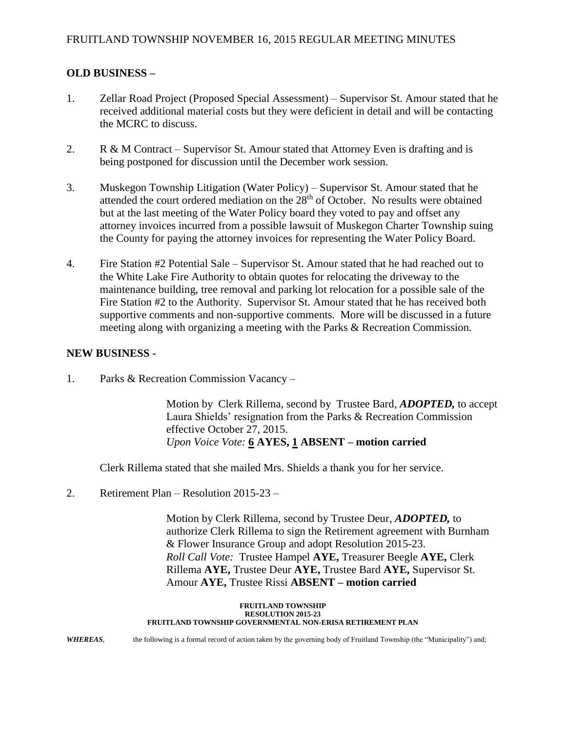# **OLD BUSINESS –**

- 1. Zellar Road Project (Proposed Special Assessment) Supervisor St. Amour stated that he received additional material costs but they were deficient in detail and will be contacting the MCRC to discuss.
- 2. R & M Contract Supervisor St. Amour stated that Attorney Even is drafting and is being postponed for discussion until the December work session.
- 3. Muskegon Township Litigation (Water Policy) Supervisor St. Amour stated that he attended the court ordered mediation on the  $28<sup>th</sup>$  of October. No results were obtained but at the last meeting of the Water Policy board they voted to pay and offset any attorney invoices incurred from a possible lawsuit of Muskegon Charter Township suing the County for paying the attorney invoices for representing the Water Policy Board.
- 4. Fire Station #2 Potential Sale Supervisor St. Amour stated that he had reached out to the White Lake Fire Authority to obtain quotes for relocating the driveway to the maintenance building, tree removal and parking lot relocation for a possible sale of the Fire Station #2 to the Authority. Supervisor St. Amour stated that he has received both supportive comments and non-supportive comments. More will be discussed in a future meeting along with organizing a meeting with the Parks & Recreation Commission.

## **NEW BUSINESS -**

1. Parks & Recreation Commission Vacancy –

Motion by Clerk Rillema, second by Trustee Bard, *ADOPTED,* to accept Laura Shields' resignation from the Parks & Recreation Commission effective October 27, 2015. *Upon Voice Vote:* **6 AYES, 1 ABSENT – motion carried**

Clerk Rillema stated that she mailed Mrs. Shields a thank you for her service.

2. Retirement Plan – Resolution 2015-23 –

Motion by Clerk Rillema, second by Trustee Deur, *ADOPTED,* to authorize Clerk Rillema to sign the Retirement agreement with Burnham & Flower Insurance Group and adopt Resolution 2015-23. *Roll Call Vote:* Trustee Hampel **AYE,** Treasurer Beegle **AYE,** Clerk Rillema **AYE,** Trustee Deur **AYE,** Trustee Bard **AYE,** Supervisor St. Amour **AYE,** Trustee Rissi **ABSENT – motion carried**

#### **FRUITLAND TOWNSHIP RESOLUTION 2015-23 FRUITLAND TOWNSHIP GOVERNMENTAL NON-ERISA RETIREMENT PLAN**

*WHEREAS*, the following is a formal record of action taken by the governing body of Fruitland Township (the "Municipality") and;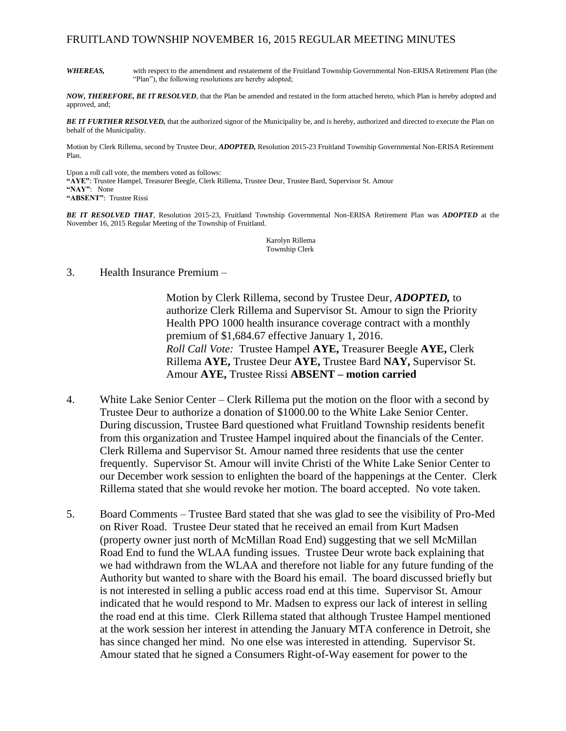#### FRUITLAND TOWNSHIP NOVEMBER 16, 2015 REGULAR MEETING MINUTES

*WHEREAS,* with respect to the amendment and restatement of the Fruitland Township Governmental Non-ERISA Retirement Plan (the "Plan"), the following resolutions are hereby adopted;

*NOW, THEREFORE, BE IT RESOLVED*, that the Plan be amended and restated in the form attached hereto, which Plan is hereby adopted and approved, and;

*BE IT FURTHER RESOLVED,* that the authorized signor of the Municipality be, and is hereby, authorized and directed to execute the Plan on behalf of the Municipality.

Motion by Clerk Rillema, second by Trustee Deur, *ADOPTED,* Resolution 2015-23 Fruitland Township Governmental Non-ERISA Retirement Plan.

Upon a roll call vote, the members voted as follows: **"AYE"**: Trustee Hampel, Treasurer Beegle, Clerk Rillema, Trustee Deur, Trustee Bard, Supervisor St. Amour **"NAY"**: None **"ABSENT"**: Trustee Rissi

*BE IT RESOLVED THAT*, Resolution 2015-23, Fruitland Township Governmental Non-ERISA Retirement Plan was *ADOPTED* at the November 16, 2015 Regular Meeting of the Township of Fruitland.

> Karolyn Rillema Township Clerk

3. Health Insurance Premium –

Motion by Clerk Rillema, second by Trustee Deur, *ADOPTED,* to authorize Clerk Rillema and Supervisor St. Amour to sign the Priority Health PPO 1000 health insurance coverage contract with a monthly premium of \$1,684.67 effective January 1, 2016. *Roll Call Vote:* Trustee Hampel **AYE,** Treasurer Beegle **AYE,** Clerk Rillema **AYE,** Trustee Deur **AYE,** Trustee Bard **NAY,** Supervisor St. Amour **AYE,** Trustee Rissi **ABSENT – motion carried**

- 4. White Lake Senior Center Clerk Rillema put the motion on the floor with a second by Trustee Deur to authorize a donation of \$1000.00 to the White Lake Senior Center. During discussion, Trustee Bard questioned what Fruitland Township residents benefit from this organization and Trustee Hampel inquired about the financials of the Center. Clerk Rillema and Supervisor St. Amour named three residents that use the center frequently. Supervisor St. Amour will invite Christi of the White Lake Senior Center to our December work session to enlighten the board of the happenings at the Center. Clerk Rillema stated that she would revoke her motion. The board accepted. No vote taken.
- 5. Board Comments Trustee Bard stated that she was glad to see the visibility of Pro-Med on River Road. Trustee Deur stated that he received an email from Kurt Madsen (property owner just north of McMillan Road End) suggesting that we sell McMillan Road End to fund the WLAA funding issues. Trustee Deur wrote back explaining that we had withdrawn from the WLAA and therefore not liable for any future funding of the Authority but wanted to share with the Board his email. The board discussed briefly but is not interested in selling a public access road end at this time. Supervisor St. Amour indicated that he would respond to Mr. Madsen to express our lack of interest in selling the road end at this time. Clerk Rillema stated that although Trustee Hampel mentioned at the work session her interest in attending the January MTA conference in Detroit, she has since changed her mind. No one else was interested in attending. Supervisor St. Amour stated that he signed a Consumers Right-of-Way easement for power to the